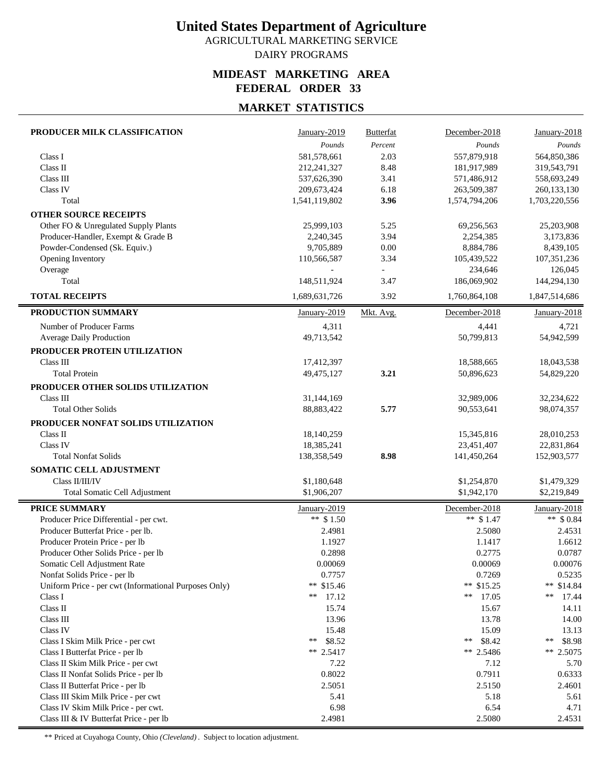AGRICULTURAL MARKETING SERVICE DAIRY PROGRAMS

#### **MIDEAST MARKETING AREA FEDERAL ORDER 33**

## **MARKET STATISTICS**

| PRODUCER MILK CLASSIFICATION                          | January-2019  | <b>Butterfat</b> | December-2018 | January-2018  |
|-------------------------------------------------------|---------------|------------------|---------------|---------------|
|                                                       | Pounds        | Percent          | Pounds        | Pounds        |
| Class I                                               | 581,578,661   | 2.03             | 557,879,918   | 564,850,386   |
| Class II                                              | 212,241,327   | 8.48             | 181,917,989   | 319,543,791   |
| Class III                                             | 537,626,390   | 3.41             | 571,486,912   | 558,693,249   |
| Class IV                                              | 209,673,424   | 6.18             | 263,509,387   | 260, 133, 130 |
| Total                                                 | 1,541,119,802 | 3.96             | 1,574,794,206 | 1,703,220,556 |
| <b>OTHER SOURCE RECEIPTS</b>                          |               |                  |               |               |
| Other FO & Unregulated Supply Plants                  | 25,999,103    | 5.25             | 69,256,563    | 25,203,908    |
| Producer-Handler, Exempt & Grade B                    | 2,240,345     | 3.94             | 2,254,385     | 3,173,836     |
| Powder-Condensed (Sk. Equiv.)                         | 9,705,889     | $0.00\,$         | 8,884,786     | 8,439,105     |
| Opening Inventory                                     | 110,566,587   | 3.34             | 105,439,522   | 107,351,236   |
| Overage                                               |               |                  | 234,646       | 126,045       |
| Total                                                 | 148,511,924   | 3.47             | 186,069,902   | 144,294,130   |
| <b>TOTAL RECEIPTS</b>                                 | 1,689,631,726 | 3.92             | 1,760,864,108 | 1,847,514,686 |
|                                                       |               |                  |               |               |
| PRODUCTION SUMMARY                                    | January-2019  | Mkt. Avg.        | December-2018 | January-2018  |
| Number of Producer Farms                              | 4,311         |                  | 4,441         | 4,721         |
| Average Daily Production                              | 49,713,542    |                  | 50,799,813    | 54,942,599    |
| PRODUCER PROTEIN UTILIZATION                          |               |                  |               |               |
| Class III                                             | 17,412,397    |                  | 18,588,665    | 18,043,538    |
| <b>Total Protein</b>                                  | 49,475,127    | 3.21             | 50,896,623    | 54,829,220    |
| PRODUCER OTHER SOLIDS UTILIZATION                     |               |                  |               |               |
| Class III                                             | 31,144,169    |                  | 32,989,006    | 32,234,622    |
| <b>Total Other Solids</b>                             | 88,883,422    | 5.77             | 90,553,641    | 98,074,357    |
| PRODUCER NONFAT SOLIDS UTILIZATION                    |               |                  |               |               |
| Class II                                              | 18,140,259    |                  | 15,345,816    | 28,010,253    |
| Class IV                                              | 18,385,241    |                  | 23,451,407    | 22,831,864    |
| <b>Total Nonfat Solids</b>                            | 138,358,549   | 8.98             | 141,450,264   | 152,903,577   |
| SOMATIC CELL ADJUSTMENT                               |               |                  |               |               |
| Class II/III/IV                                       | \$1,180,648   |                  | \$1,254,870   | \$1,479,329   |
| Total Somatic Cell Adjustment                         | \$1,906,207   |                  | \$1,942,170   | \$2,219,849   |
|                                                       |               |                  |               |               |
| PRICE SUMMARY                                         | January-2019  |                  | December-2018 | January-2018  |
| Producer Price Differential - per cwt.                | ** $$1.50$    |                  | ** $$1.47$    | ** $$0.84$    |
| Producer Butterfat Price - per lb.                    | 2.4981        |                  | 2.5080        | 2.4531        |
| Producer Protein Price - per lb                       | 1.1927        |                  | 1.1417        | 1.6612        |
| Producer Other Solids Price - per lb                  | 0.2898        |                  | 0.2775        | 0.0787        |
| Somatic Cell Adjustment Rate                          | 0.00069       |                  | 0.00069       | 0.00076       |
| Nonfat Solids Price - per lb                          | 0.7757        |                  | 0.7269        | 0.5235        |
| Uniform Price - per cwt (Informational Purposes Only) | ** $$15.46$   |                  | ** \$15.25    | ** \$14.84    |
| Class I                                               | **<br>17.12   |                  | **<br>17.05   | **<br>17.44   |
| Class II                                              | 15.74         |                  | 15.67         | 14.11         |
| Class III                                             | 13.96         |                  | 13.78         | 14.00         |
| Class IV                                              | 15.48         |                  | 15.09         | 13.13         |
| Class I Skim Milk Price - per cwt                     | **<br>\$8.52  |                  | \$8.42<br>**  | \$8.98<br>**  |
| Class I Butterfat Price - per lb                      | ** $2.5417$   |                  | ** 2.5486     | ** 2.5075     |
| Class II Skim Milk Price - per cwt                    | 7.22          |                  | 7.12          | 5.70          |
| Class II Nonfat Solids Price - per lb                 | 0.8022        |                  | 0.7911        | 0.6333        |
| Class II Butterfat Price - per lb                     | 2.5051        |                  | 2.5150        | 2.4601        |
| Class III Skim Milk Price - per cwt                   | 5.41          |                  | 5.18          | 5.61          |
| Class IV Skim Milk Price - per cwt.                   | 6.98          |                  | 6.54          | 4.71          |
| Class III & IV Butterfat Price - per lb               | 2.4981        |                  | 2.5080        | 2.4531        |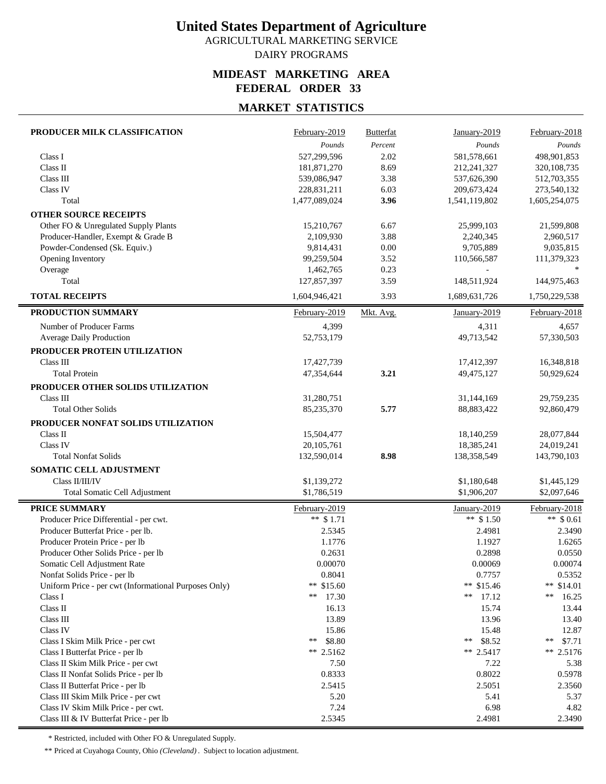AGRICULTURAL MARKETING SERVICE DAIRY PROGRAMS

#### **MIDEAST MARKETING AREA FEDERAL ORDER 33**

## **MARKET STATISTICS**

| PRODUCER MILK CLASSIFICATION                          | February-2019 | <b>Butterfat</b> | January-2019  | February-2018 |
|-------------------------------------------------------|---------------|------------------|---------------|---------------|
|                                                       | Pounds        | Percent          | Pounds        | Pounds        |
| Class I                                               | 527,299,596   | 2.02             | 581,578,661   | 498,901,853   |
| Class II                                              | 181,871,270   | 8.69             | 212,241,327   | 320,108,735   |
| Class $\rm III$                                       | 539,086,947   | 3.38             | 537,626,390   | 512,703,355   |
| Class IV                                              | 228,831,211   | 6.03             | 209,673,424   | 273,540,132   |
| Total                                                 | 1,477,089,024 | 3.96             | 1,541,119,802 | 1,605,254,075 |
| <b>OTHER SOURCE RECEIPTS</b>                          |               |                  |               |               |
| Other FO & Unregulated Supply Plants                  | 15,210,767    | 6.67             | 25,999,103    | 21,599,808    |
| Producer-Handler, Exempt & Grade B                    | 2,109,930     | 3.88             | 2,240,345     | 2,960,517     |
| Powder-Condensed (Sk. Equiv.)                         | 9,814,431     | 0.00             | 9,705,889     | 9,035,815     |
| Opening Inventory                                     | 99,259,504    | 3.52             | 110,566,587   | 111,379,323   |
| Overage                                               | 1,462,765     | 0.23             |               |               |
| Total                                                 | 127,857,397   | 3.59             | 148,511,924   | 144,975,463   |
| <b>TOTAL RECEIPTS</b>                                 | 1,604,946,421 | 3.93             | 1,689,631,726 | 1,750,229,538 |
| PRODUCTION SUMMARY                                    | February-2019 | Mkt. Avg.        | January-2019  | February-2018 |
| Number of Producer Farms                              | 4,399         |                  | 4,311         | 4,657         |
| Average Daily Production                              | 52,753,179    |                  | 49,713,542    | 57,330,503    |
| PRODUCER PROTEIN UTILIZATION                          |               |                  |               |               |
| Class III                                             | 17,427,739    |                  | 17,412,397    | 16,348,818    |
| <b>Total Protein</b>                                  | 47,354,644    | 3.21             | 49,475,127    | 50,929,624    |
| PRODUCER OTHER SOLIDS UTILIZATION                     |               |                  |               |               |
| Class III                                             | 31,280,751    |                  | 31,144,169    | 29,759,235    |
| <b>Total Other Solids</b>                             | 85,235,370    | 5.77             | 88,883,422    | 92,860,479    |
|                                                       |               |                  |               |               |
| PRODUCER NONFAT SOLIDS UTILIZATION                    |               |                  |               |               |
| Class II                                              | 15,504,477    |                  | 18,140,259    | 28,077,844    |
| Class IV<br><b>Total Nonfat Solids</b>                | 20, 105, 761  | 8.98             | 18,385,241    | 24,019,241    |
|                                                       | 132,590,014   |                  | 138,358,549   | 143,790,103   |
| SOMATIC CELL ADJUSTMENT                               |               |                  |               |               |
| Class II/III/IV                                       | \$1,139,272   |                  | \$1,180,648   | \$1,445,129   |
| Total Somatic Cell Adjustment                         | \$1,786,519   |                  | \$1,906,207   | \$2,097,646   |
| PRICE SUMMARY                                         | February-2019 |                  | January-2019  | February-2018 |
| Producer Price Differential - per cwt.                | ** $$1.71$    |                  | ** $$1.50$    | ** $$0.61$    |
| Producer Butterfat Price - per lb.                    | 2.5345        |                  | 2.4981        | 2.3490        |
| Producer Protein Price - per lb                       | 1.1776        |                  | 1.1927        | 1.6265        |
| Producer Other Solids Price - per lb                  | 0.2631        |                  | 0.2898        | 0.0550        |
| Somatic Cell Adjustment Rate                          | 0.00070       |                  | 0.00069       | 0.00074       |
| Nonfat Solids Price - per lb                          | 0.8041        |                  | 0.7757        | 0.5352        |
| Uniform Price - per cwt (Informational Purposes Only) | ** $$15.60$   |                  | ** \$15.46    | ** $$14.01$   |
| Class I                                               | **<br>17.30   |                  | 17.12<br>**   | **<br>16.25   |
| Class II                                              | 16.13         |                  | 15.74         | 13.44         |
| Class III                                             | 13.89         |                  | 13.96         | 13.40         |
| Class IV                                              | 15.86         |                  | 15.48         | 12.87         |
| Class I Skim Milk Price - per cwt                     | \$8.80<br>**  |                  | \$8.52<br>**  | \$7.71<br>**  |
| Class I Butterfat Price - per lb                      | ** 2.5162     |                  | ** 2.5417     | $** 2.5176$   |
| Class II Skim Milk Price - per cwt                    | 7.50          |                  | 7.22          | 5.38          |
| Class II Nonfat Solids Price - per lb                 | 0.8333        |                  | 0.8022        | 0.5978        |
| Class II Butterfat Price - per lb                     | 2.5415        |                  | 2.5051        | 2.3560        |
| Class III Skim Milk Price - per cwt                   | 5.20          |                  | 5.41          | 5.37          |
| Class IV Skim Milk Price - per cwt.                   | 7.24          |                  | 6.98          | 4.82          |
| Class III & IV Butterfat Price - per lb               | 2.5345        |                  | 2.4981        | 2.3490        |

\* Restricted, included with Other FO & Unregulated Supply.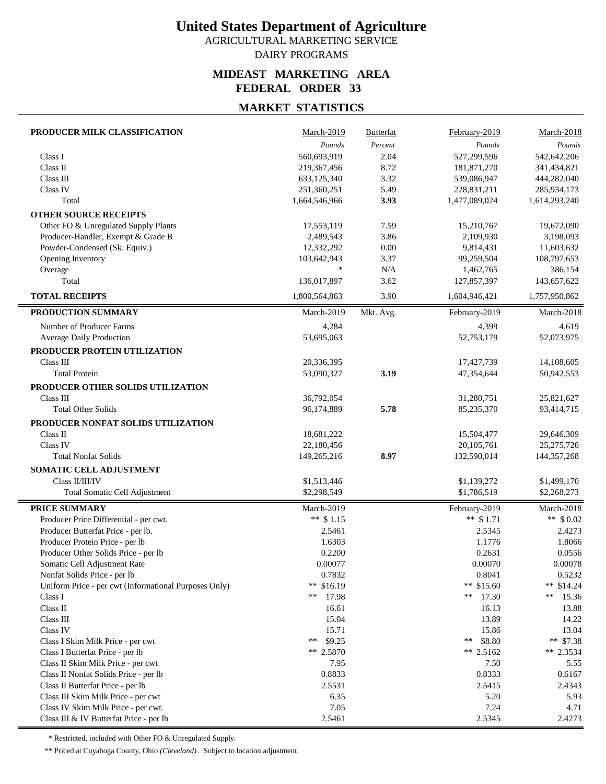AGRICULTURAL MARKETING SERVICE DAIRY PROGRAMS

#### **MIDEAST MARKETING AREA FEDERAL ORDER 33**

## **MARKET STATISTICS**

| Pounds<br>Percent<br>Pounds<br>Pounds<br>560,693,919<br>2.04<br>527,299,596<br>542,642,206<br>Class I<br>Class II<br>8.72<br>219,367,456<br>181,871,270<br>341,434,821<br>Class III<br>633,125,340<br>3.32<br>539,086,947<br>444,282,040<br>Class IV<br>5.49<br>251,360,251<br>228,831,211<br>285,934,173<br>Total<br>1,664,546,966<br>3.93<br>1,477,089,024<br>1,614,293,240<br><b>OTHER SOURCE RECEIPTS</b><br>Other FO & Unregulated Supply Plants<br>17,553,119<br>7.59<br>15,210,767<br>19,672,090<br>Producer-Handler, Exempt & Grade B<br>2,489,543<br>3.86<br>2,109,930<br>3,198,093<br>Powder-Condensed (Sk. Equiv.)<br>0.00<br>9,814,431<br>11,603,632<br>12,332,292<br>Opening Inventory<br>103,642,943<br>3.37<br>99,259,504<br>108,797,653<br>$\ast$<br>Overage<br>N/A<br>1,462,765<br>386,154<br>Total<br>136,017,897<br>3.62<br>127,857,397<br>143,657,622<br><b>TOTAL RECEIPTS</b><br>1,800,564,863<br>3.90<br>1,604,946,421<br>1,757,950,862<br>PRODUCTION SUMMARY<br><b>March-2019</b><br>Mkt. Avg.<br>February-2019<br>March-2018<br>4,399<br>Number of Producer Farms<br>4,284<br>4,619<br>Average Daily Production<br>53,695,063<br>52,753,179<br>52,073,975<br>PRODUCER PROTEIN UTILIZATION<br>Class III<br>20,336,395<br>17,427,739<br>14,108,605<br>3.19<br><b>Total Protein</b><br>47,354,644<br>53,090,327<br>50,942,553<br>PRODUCER OTHER SOLIDS UTILIZATION<br>Class III<br>36,792,054<br>31,280,751<br>25,821,627<br><b>Total Other Solids</b><br>5.78<br>85,235,370<br>93,414,715<br>96,174,889<br>PRODUCER NONFAT SOLIDS UTILIZATION<br>Class II<br>18,681,222<br>15,504,477<br>29,646,309<br>Class IV<br>20,105,761<br>25,275,726<br>22,180,456<br>8.97<br><b>Total Nonfat Solids</b><br>132,590,014<br>144, 357, 268<br>149,265,216<br>SOMATIC CELL ADJUSTMENT<br>Class II/III/IV<br>\$1,513,446<br>\$1,139,272<br>\$1,499,170<br>\$2,298,549<br>\$1,786,519<br>\$2,268,273<br>Total Somatic Cell Adjustment<br>PRICE SUMMARY<br><b>March-2019</b><br>February-2019<br>March-2018<br>** $$1.71$<br>Producer Price Differential - per cwt.<br>** $$1.15$<br>** $$0.02$<br>Producer Butterfat Price - per lb.<br>2.5461<br>2.5345<br>2.4273<br>1.1776<br>Producer Protein Price - per lb<br>1.6303<br>1.8066<br>Producer Other Solids Price - per lb<br>0.2200<br>0.2631<br>0.0556<br>0.00077<br>0.00070<br>0.00078<br>Somatic Cell Adjustment Rate<br>0.7832<br>0.8041<br>Nonfat Solids Price - per lb<br>0.5232<br>** $$16.19$<br>** \$15.60<br>Uniform Price - per cwt (Informational Purposes Only)<br>** $$14.24$<br>Class I<br>**<br>17.98<br>**<br>17.30<br>**<br>15.36<br>Class II<br>16.61<br>16.13<br>13.88<br>Class III<br>15.04<br>13.89<br>14.22 | PRODUCER MILK CLASSIFICATION | March-2019 | <b>Butterfat</b> | February-2019 | March-2018 |
|----------------------------------------------------------------------------------------------------------------------------------------------------------------------------------------------------------------------------------------------------------------------------------------------------------------------------------------------------------------------------------------------------------------------------------------------------------------------------------------------------------------------------------------------------------------------------------------------------------------------------------------------------------------------------------------------------------------------------------------------------------------------------------------------------------------------------------------------------------------------------------------------------------------------------------------------------------------------------------------------------------------------------------------------------------------------------------------------------------------------------------------------------------------------------------------------------------------------------------------------------------------------------------------------------------------------------------------------------------------------------------------------------------------------------------------------------------------------------------------------------------------------------------------------------------------------------------------------------------------------------------------------------------------------------------------------------------------------------------------------------------------------------------------------------------------------------------------------------------------------------------------------------------------------------------------------------------------------------------------------------------------------------------------------------------------------------------------------------------------------------------------------------------------------------------------------------------------------------------------------------------------------------------------------------------------------------------------------------------------------------------------------------------------------------------------------------------------------------------------------------------------------------------------------------------------------------------------------------------------------------------------------------------------------------------------------|------------------------------|------------|------------------|---------------|------------|
|                                                                                                                                                                                                                                                                                                                                                                                                                                                                                                                                                                                                                                                                                                                                                                                                                                                                                                                                                                                                                                                                                                                                                                                                                                                                                                                                                                                                                                                                                                                                                                                                                                                                                                                                                                                                                                                                                                                                                                                                                                                                                                                                                                                                                                                                                                                                                                                                                                                                                                                                                                                                                                                                                              |                              |            |                  |               |            |
|                                                                                                                                                                                                                                                                                                                                                                                                                                                                                                                                                                                                                                                                                                                                                                                                                                                                                                                                                                                                                                                                                                                                                                                                                                                                                                                                                                                                                                                                                                                                                                                                                                                                                                                                                                                                                                                                                                                                                                                                                                                                                                                                                                                                                                                                                                                                                                                                                                                                                                                                                                                                                                                                                              |                              |            |                  |               |            |
|                                                                                                                                                                                                                                                                                                                                                                                                                                                                                                                                                                                                                                                                                                                                                                                                                                                                                                                                                                                                                                                                                                                                                                                                                                                                                                                                                                                                                                                                                                                                                                                                                                                                                                                                                                                                                                                                                                                                                                                                                                                                                                                                                                                                                                                                                                                                                                                                                                                                                                                                                                                                                                                                                              |                              |            |                  |               |            |
|                                                                                                                                                                                                                                                                                                                                                                                                                                                                                                                                                                                                                                                                                                                                                                                                                                                                                                                                                                                                                                                                                                                                                                                                                                                                                                                                                                                                                                                                                                                                                                                                                                                                                                                                                                                                                                                                                                                                                                                                                                                                                                                                                                                                                                                                                                                                                                                                                                                                                                                                                                                                                                                                                              |                              |            |                  |               |            |
|                                                                                                                                                                                                                                                                                                                                                                                                                                                                                                                                                                                                                                                                                                                                                                                                                                                                                                                                                                                                                                                                                                                                                                                                                                                                                                                                                                                                                                                                                                                                                                                                                                                                                                                                                                                                                                                                                                                                                                                                                                                                                                                                                                                                                                                                                                                                                                                                                                                                                                                                                                                                                                                                                              |                              |            |                  |               |            |
|                                                                                                                                                                                                                                                                                                                                                                                                                                                                                                                                                                                                                                                                                                                                                                                                                                                                                                                                                                                                                                                                                                                                                                                                                                                                                                                                                                                                                                                                                                                                                                                                                                                                                                                                                                                                                                                                                                                                                                                                                                                                                                                                                                                                                                                                                                                                                                                                                                                                                                                                                                                                                                                                                              |                              |            |                  |               |            |
|                                                                                                                                                                                                                                                                                                                                                                                                                                                                                                                                                                                                                                                                                                                                                                                                                                                                                                                                                                                                                                                                                                                                                                                                                                                                                                                                                                                                                                                                                                                                                                                                                                                                                                                                                                                                                                                                                                                                                                                                                                                                                                                                                                                                                                                                                                                                                                                                                                                                                                                                                                                                                                                                                              |                              |            |                  |               |            |
|                                                                                                                                                                                                                                                                                                                                                                                                                                                                                                                                                                                                                                                                                                                                                                                                                                                                                                                                                                                                                                                                                                                                                                                                                                                                                                                                                                                                                                                                                                                                                                                                                                                                                                                                                                                                                                                                                                                                                                                                                                                                                                                                                                                                                                                                                                                                                                                                                                                                                                                                                                                                                                                                                              |                              |            |                  |               |            |
|                                                                                                                                                                                                                                                                                                                                                                                                                                                                                                                                                                                                                                                                                                                                                                                                                                                                                                                                                                                                                                                                                                                                                                                                                                                                                                                                                                                                                                                                                                                                                                                                                                                                                                                                                                                                                                                                                                                                                                                                                                                                                                                                                                                                                                                                                                                                                                                                                                                                                                                                                                                                                                                                                              |                              |            |                  |               |            |
|                                                                                                                                                                                                                                                                                                                                                                                                                                                                                                                                                                                                                                                                                                                                                                                                                                                                                                                                                                                                                                                                                                                                                                                                                                                                                                                                                                                                                                                                                                                                                                                                                                                                                                                                                                                                                                                                                                                                                                                                                                                                                                                                                                                                                                                                                                                                                                                                                                                                                                                                                                                                                                                                                              |                              |            |                  |               |            |
|                                                                                                                                                                                                                                                                                                                                                                                                                                                                                                                                                                                                                                                                                                                                                                                                                                                                                                                                                                                                                                                                                                                                                                                                                                                                                                                                                                                                                                                                                                                                                                                                                                                                                                                                                                                                                                                                                                                                                                                                                                                                                                                                                                                                                                                                                                                                                                                                                                                                                                                                                                                                                                                                                              |                              |            |                  |               |            |
|                                                                                                                                                                                                                                                                                                                                                                                                                                                                                                                                                                                                                                                                                                                                                                                                                                                                                                                                                                                                                                                                                                                                                                                                                                                                                                                                                                                                                                                                                                                                                                                                                                                                                                                                                                                                                                                                                                                                                                                                                                                                                                                                                                                                                                                                                                                                                                                                                                                                                                                                                                                                                                                                                              |                              |            |                  |               |            |
|                                                                                                                                                                                                                                                                                                                                                                                                                                                                                                                                                                                                                                                                                                                                                                                                                                                                                                                                                                                                                                                                                                                                                                                                                                                                                                                                                                                                                                                                                                                                                                                                                                                                                                                                                                                                                                                                                                                                                                                                                                                                                                                                                                                                                                                                                                                                                                                                                                                                                                                                                                                                                                                                                              |                              |            |                  |               |            |
|                                                                                                                                                                                                                                                                                                                                                                                                                                                                                                                                                                                                                                                                                                                                                                                                                                                                                                                                                                                                                                                                                                                                                                                                                                                                                                                                                                                                                                                                                                                                                                                                                                                                                                                                                                                                                                                                                                                                                                                                                                                                                                                                                                                                                                                                                                                                                                                                                                                                                                                                                                                                                                                                                              |                              |            |                  |               |            |
|                                                                                                                                                                                                                                                                                                                                                                                                                                                                                                                                                                                                                                                                                                                                                                                                                                                                                                                                                                                                                                                                                                                                                                                                                                                                                                                                                                                                                                                                                                                                                                                                                                                                                                                                                                                                                                                                                                                                                                                                                                                                                                                                                                                                                                                                                                                                                                                                                                                                                                                                                                                                                                                                                              |                              |            |                  |               |            |
|                                                                                                                                                                                                                                                                                                                                                                                                                                                                                                                                                                                                                                                                                                                                                                                                                                                                                                                                                                                                                                                                                                                                                                                                                                                                                                                                                                                                                                                                                                                                                                                                                                                                                                                                                                                                                                                                                                                                                                                                                                                                                                                                                                                                                                                                                                                                                                                                                                                                                                                                                                                                                                                                                              |                              |            |                  |               |            |
|                                                                                                                                                                                                                                                                                                                                                                                                                                                                                                                                                                                                                                                                                                                                                                                                                                                                                                                                                                                                                                                                                                                                                                                                                                                                                                                                                                                                                                                                                                                                                                                                                                                                                                                                                                                                                                                                                                                                                                                                                                                                                                                                                                                                                                                                                                                                                                                                                                                                                                                                                                                                                                                                                              |                              |            |                  |               |            |
|                                                                                                                                                                                                                                                                                                                                                                                                                                                                                                                                                                                                                                                                                                                                                                                                                                                                                                                                                                                                                                                                                                                                                                                                                                                                                                                                                                                                                                                                                                                                                                                                                                                                                                                                                                                                                                                                                                                                                                                                                                                                                                                                                                                                                                                                                                                                                                                                                                                                                                                                                                                                                                                                                              |                              |            |                  |               |            |
|                                                                                                                                                                                                                                                                                                                                                                                                                                                                                                                                                                                                                                                                                                                                                                                                                                                                                                                                                                                                                                                                                                                                                                                                                                                                                                                                                                                                                                                                                                                                                                                                                                                                                                                                                                                                                                                                                                                                                                                                                                                                                                                                                                                                                                                                                                                                                                                                                                                                                                                                                                                                                                                                                              |                              |            |                  |               |            |
|                                                                                                                                                                                                                                                                                                                                                                                                                                                                                                                                                                                                                                                                                                                                                                                                                                                                                                                                                                                                                                                                                                                                                                                                                                                                                                                                                                                                                                                                                                                                                                                                                                                                                                                                                                                                                                                                                                                                                                                                                                                                                                                                                                                                                                                                                                                                                                                                                                                                                                                                                                                                                                                                                              |                              |            |                  |               |            |
|                                                                                                                                                                                                                                                                                                                                                                                                                                                                                                                                                                                                                                                                                                                                                                                                                                                                                                                                                                                                                                                                                                                                                                                                                                                                                                                                                                                                                                                                                                                                                                                                                                                                                                                                                                                                                                                                                                                                                                                                                                                                                                                                                                                                                                                                                                                                                                                                                                                                                                                                                                                                                                                                                              |                              |            |                  |               |            |
|                                                                                                                                                                                                                                                                                                                                                                                                                                                                                                                                                                                                                                                                                                                                                                                                                                                                                                                                                                                                                                                                                                                                                                                                                                                                                                                                                                                                                                                                                                                                                                                                                                                                                                                                                                                                                                                                                                                                                                                                                                                                                                                                                                                                                                                                                                                                                                                                                                                                                                                                                                                                                                                                                              |                              |            |                  |               |            |
|                                                                                                                                                                                                                                                                                                                                                                                                                                                                                                                                                                                                                                                                                                                                                                                                                                                                                                                                                                                                                                                                                                                                                                                                                                                                                                                                                                                                                                                                                                                                                                                                                                                                                                                                                                                                                                                                                                                                                                                                                                                                                                                                                                                                                                                                                                                                                                                                                                                                                                                                                                                                                                                                                              |                              |            |                  |               |            |
|                                                                                                                                                                                                                                                                                                                                                                                                                                                                                                                                                                                                                                                                                                                                                                                                                                                                                                                                                                                                                                                                                                                                                                                                                                                                                                                                                                                                                                                                                                                                                                                                                                                                                                                                                                                                                                                                                                                                                                                                                                                                                                                                                                                                                                                                                                                                                                                                                                                                                                                                                                                                                                                                                              |                              |            |                  |               |            |
|                                                                                                                                                                                                                                                                                                                                                                                                                                                                                                                                                                                                                                                                                                                                                                                                                                                                                                                                                                                                                                                                                                                                                                                                                                                                                                                                                                                                                                                                                                                                                                                                                                                                                                                                                                                                                                                                                                                                                                                                                                                                                                                                                                                                                                                                                                                                                                                                                                                                                                                                                                                                                                                                                              |                              |            |                  |               |            |
|                                                                                                                                                                                                                                                                                                                                                                                                                                                                                                                                                                                                                                                                                                                                                                                                                                                                                                                                                                                                                                                                                                                                                                                                                                                                                                                                                                                                                                                                                                                                                                                                                                                                                                                                                                                                                                                                                                                                                                                                                                                                                                                                                                                                                                                                                                                                                                                                                                                                                                                                                                                                                                                                                              |                              |            |                  |               |            |
|                                                                                                                                                                                                                                                                                                                                                                                                                                                                                                                                                                                                                                                                                                                                                                                                                                                                                                                                                                                                                                                                                                                                                                                                                                                                                                                                                                                                                                                                                                                                                                                                                                                                                                                                                                                                                                                                                                                                                                                                                                                                                                                                                                                                                                                                                                                                                                                                                                                                                                                                                                                                                                                                                              |                              |            |                  |               |            |
|                                                                                                                                                                                                                                                                                                                                                                                                                                                                                                                                                                                                                                                                                                                                                                                                                                                                                                                                                                                                                                                                                                                                                                                                                                                                                                                                                                                                                                                                                                                                                                                                                                                                                                                                                                                                                                                                                                                                                                                                                                                                                                                                                                                                                                                                                                                                                                                                                                                                                                                                                                                                                                                                                              |                              |            |                  |               |            |
|                                                                                                                                                                                                                                                                                                                                                                                                                                                                                                                                                                                                                                                                                                                                                                                                                                                                                                                                                                                                                                                                                                                                                                                                                                                                                                                                                                                                                                                                                                                                                                                                                                                                                                                                                                                                                                                                                                                                                                                                                                                                                                                                                                                                                                                                                                                                                                                                                                                                                                                                                                                                                                                                                              |                              |            |                  |               |            |
|                                                                                                                                                                                                                                                                                                                                                                                                                                                                                                                                                                                                                                                                                                                                                                                                                                                                                                                                                                                                                                                                                                                                                                                                                                                                                                                                                                                                                                                                                                                                                                                                                                                                                                                                                                                                                                                                                                                                                                                                                                                                                                                                                                                                                                                                                                                                                                                                                                                                                                                                                                                                                                                                                              |                              |            |                  |               |            |
|                                                                                                                                                                                                                                                                                                                                                                                                                                                                                                                                                                                                                                                                                                                                                                                                                                                                                                                                                                                                                                                                                                                                                                                                                                                                                                                                                                                                                                                                                                                                                                                                                                                                                                                                                                                                                                                                                                                                                                                                                                                                                                                                                                                                                                                                                                                                                                                                                                                                                                                                                                                                                                                                                              |                              |            |                  |               |            |
|                                                                                                                                                                                                                                                                                                                                                                                                                                                                                                                                                                                                                                                                                                                                                                                                                                                                                                                                                                                                                                                                                                                                                                                                                                                                                                                                                                                                                                                                                                                                                                                                                                                                                                                                                                                                                                                                                                                                                                                                                                                                                                                                                                                                                                                                                                                                                                                                                                                                                                                                                                                                                                                                                              |                              |            |                  |               |            |
|                                                                                                                                                                                                                                                                                                                                                                                                                                                                                                                                                                                                                                                                                                                                                                                                                                                                                                                                                                                                                                                                                                                                                                                                                                                                                                                                                                                                                                                                                                                                                                                                                                                                                                                                                                                                                                                                                                                                                                                                                                                                                                                                                                                                                                                                                                                                                                                                                                                                                                                                                                                                                                                                                              |                              |            |                  |               |            |
|                                                                                                                                                                                                                                                                                                                                                                                                                                                                                                                                                                                                                                                                                                                                                                                                                                                                                                                                                                                                                                                                                                                                                                                                                                                                                                                                                                                                                                                                                                                                                                                                                                                                                                                                                                                                                                                                                                                                                                                                                                                                                                                                                                                                                                                                                                                                                                                                                                                                                                                                                                                                                                                                                              |                              |            |                  |               |            |
|                                                                                                                                                                                                                                                                                                                                                                                                                                                                                                                                                                                                                                                                                                                                                                                                                                                                                                                                                                                                                                                                                                                                                                                                                                                                                                                                                                                                                                                                                                                                                                                                                                                                                                                                                                                                                                                                                                                                                                                                                                                                                                                                                                                                                                                                                                                                                                                                                                                                                                                                                                                                                                                                                              |                              |            |                  |               |            |
|                                                                                                                                                                                                                                                                                                                                                                                                                                                                                                                                                                                                                                                                                                                                                                                                                                                                                                                                                                                                                                                                                                                                                                                                                                                                                                                                                                                                                                                                                                                                                                                                                                                                                                                                                                                                                                                                                                                                                                                                                                                                                                                                                                                                                                                                                                                                                                                                                                                                                                                                                                                                                                                                                              |                              |            |                  |               |            |
|                                                                                                                                                                                                                                                                                                                                                                                                                                                                                                                                                                                                                                                                                                                                                                                                                                                                                                                                                                                                                                                                                                                                                                                                                                                                                                                                                                                                                                                                                                                                                                                                                                                                                                                                                                                                                                                                                                                                                                                                                                                                                                                                                                                                                                                                                                                                                                                                                                                                                                                                                                                                                                                                                              |                              |            |                  |               |            |
|                                                                                                                                                                                                                                                                                                                                                                                                                                                                                                                                                                                                                                                                                                                                                                                                                                                                                                                                                                                                                                                                                                                                                                                                                                                                                                                                                                                                                                                                                                                                                                                                                                                                                                                                                                                                                                                                                                                                                                                                                                                                                                                                                                                                                                                                                                                                                                                                                                                                                                                                                                                                                                                                                              |                              |            |                  |               |            |
|                                                                                                                                                                                                                                                                                                                                                                                                                                                                                                                                                                                                                                                                                                                                                                                                                                                                                                                                                                                                                                                                                                                                                                                                                                                                                                                                                                                                                                                                                                                                                                                                                                                                                                                                                                                                                                                                                                                                                                                                                                                                                                                                                                                                                                                                                                                                                                                                                                                                                                                                                                                                                                                                                              |                              |            |                  |               |            |
|                                                                                                                                                                                                                                                                                                                                                                                                                                                                                                                                                                                                                                                                                                                                                                                                                                                                                                                                                                                                                                                                                                                                                                                                                                                                                                                                                                                                                                                                                                                                                                                                                                                                                                                                                                                                                                                                                                                                                                                                                                                                                                                                                                                                                                                                                                                                                                                                                                                                                                                                                                                                                                                                                              |                              |            |                  |               |            |
|                                                                                                                                                                                                                                                                                                                                                                                                                                                                                                                                                                                                                                                                                                                                                                                                                                                                                                                                                                                                                                                                                                                                                                                                                                                                                                                                                                                                                                                                                                                                                                                                                                                                                                                                                                                                                                                                                                                                                                                                                                                                                                                                                                                                                                                                                                                                                                                                                                                                                                                                                                                                                                                                                              |                              |            |                  |               |            |
|                                                                                                                                                                                                                                                                                                                                                                                                                                                                                                                                                                                                                                                                                                                                                                                                                                                                                                                                                                                                                                                                                                                                                                                                                                                                                                                                                                                                                                                                                                                                                                                                                                                                                                                                                                                                                                                                                                                                                                                                                                                                                                                                                                                                                                                                                                                                                                                                                                                                                                                                                                                                                                                                                              | Class IV                     | 15.71      |                  | 15.86         | 13.04      |
| \$9.25<br>\$8.80<br>** $$7.38$<br>Class I Skim Milk Price - per cwt<br>**<br>**                                                                                                                                                                                                                                                                                                                                                                                                                                                                                                                                                                                                                                                                                                                                                                                                                                                                                                                                                                                                                                                                                                                                                                                                                                                                                                                                                                                                                                                                                                                                                                                                                                                                                                                                                                                                                                                                                                                                                                                                                                                                                                                                                                                                                                                                                                                                                                                                                                                                                                                                                                                                              |                              |            |                  |               |            |
| ** 2.5870<br>** 2.5162<br>** 2.3534<br>Class I Butterfat Price - per lb                                                                                                                                                                                                                                                                                                                                                                                                                                                                                                                                                                                                                                                                                                                                                                                                                                                                                                                                                                                                                                                                                                                                                                                                                                                                                                                                                                                                                                                                                                                                                                                                                                                                                                                                                                                                                                                                                                                                                                                                                                                                                                                                                                                                                                                                                                                                                                                                                                                                                                                                                                                                                      |                              |            |                  |               |            |
| Class II Skim Milk Price - per cwt<br>7.95<br>7.50<br>5.55                                                                                                                                                                                                                                                                                                                                                                                                                                                                                                                                                                                                                                                                                                                                                                                                                                                                                                                                                                                                                                                                                                                                                                                                                                                                                                                                                                                                                                                                                                                                                                                                                                                                                                                                                                                                                                                                                                                                                                                                                                                                                                                                                                                                                                                                                                                                                                                                                                                                                                                                                                                                                                   |                              |            |                  |               |            |
| 0.8833<br>0.8333<br>0.6167<br>Class II Nonfat Solids Price - per lb                                                                                                                                                                                                                                                                                                                                                                                                                                                                                                                                                                                                                                                                                                                                                                                                                                                                                                                                                                                                                                                                                                                                                                                                                                                                                                                                                                                                                                                                                                                                                                                                                                                                                                                                                                                                                                                                                                                                                                                                                                                                                                                                                                                                                                                                                                                                                                                                                                                                                                                                                                                                                          |                              |            |                  |               |            |
| 2.5415<br>Class II Butterfat Price - per lb<br>2.5531<br>2.4343                                                                                                                                                                                                                                                                                                                                                                                                                                                                                                                                                                                                                                                                                                                                                                                                                                                                                                                                                                                                                                                                                                                                                                                                                                                                                                                                                                                                                                                                                                                                                                                                                                                                                                                                                                                                                                                                                                                                                                                                                                                                                                                                                                                                                                                                                                                                                                                                                                                                                                                                                                                                                              |                              |            |                  |               |            |
| Class III Skim Milk Price - per cwt<br>6.35<br>5.20<br>5.93                                                                                                                                                                                                                                                                                                                                                                                                                                                                                                                                                                                                                                                                                                                                                                                                                                                                                                                                                                                                                                                                                                                                                                                                                                                                                                                                                                                                                                                                                                                                                                                                                                                                                                                                                                                                                                                                                                                                                                                                                                                                                                                                                                                                                                                                                                                                                                                                                                                                                                                                                                                                                                  |                              |            |                  |               |            |
| 7.05<br>7.24<br>Class IV Skim Milk Price - per cwt.<br>4.71                                                                                                                                                                                                                                                                                                                                                                                                                                                                                                                                                                                                                                                                                                                                                                                                                                                                                                                                                                                                                                                                                                                                                                                                                                                                                                                                                                                                                                                                                                                                                                                                                                                                                                                                                                                                                                                                                                                                                                                                                                                                                                                                                                                                                                                                                                                                                                                                                                                                                                                                                                                                                                  |                              |            |                  |               |            |
| Class III & IV Butterfat Price - per lb<br>2.5461<br>2.5345<br>2.4273                                                                                                                                                                                                                                                                                                                                                                                                                                                                                                                                                                                                                                                                                                                                                                                                                                                                                                                                                                                                                                                                                                                                                                                                                                                                                                                                                                                                                                                                                                                                                                                                                                                                                                                                                                                                                                                                                                                                                                                                                                                                                                                                                                                                                                                                                                                                                                                                                                                                                                                                                                                                                        |                              |            |                  |               |            |

\* Restricted, included with Other FO & Unregulated Supply.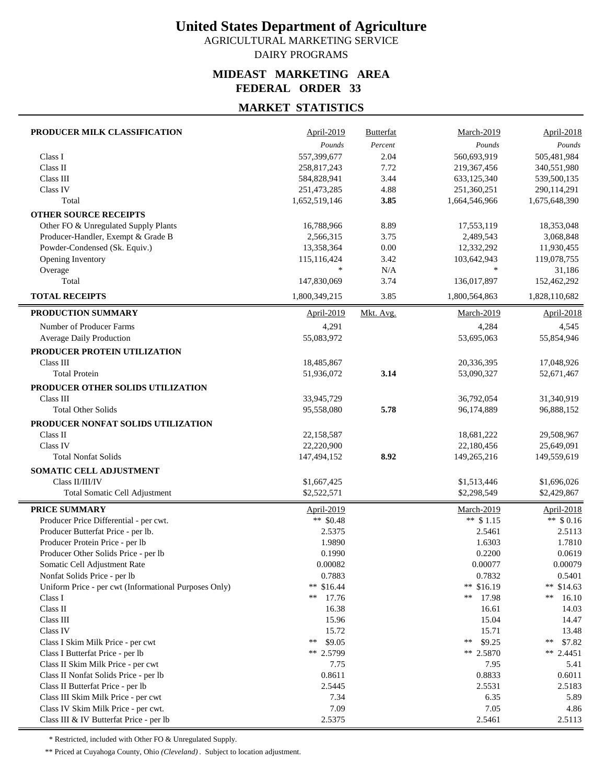AGRICULTURAL MARKETING SERVICE DAIRY PROGRAMS

#### **MIDEAST MARKETING AREA FEDERAL ORDER 33**

## **MARKET STATISTICS**

| PRODUCER MILK CLASSIFICATION                          | April-2019           | <b>Butterfat</b> | March-2019        | April-2018    |
|-------------------------------------------------------|----------------------|------------------|-------------------|---------------|
|                                                       | Pounds               | Percent          | Pounds            | Pounds        |
| Class I                                               | 557,399,677          | 2.04             | 560,693,919       | 505,481,984   |
| Class II                                              | 258,817,243          | 7.72             | 219,367,456       | 340,551,980   |
| Class III                                             | 584,828,941          | 3.44             | 633,125,340       | 539,500,135   |
| Class IV                                              | 251,473,285          | 4.88             | 251,360,251       | 290,114,291   |
| Total                                                 | 1,652,519,146        | 3.85             | 1,664,546,966     | 1,675,648,390 |
| <b>OTHER SOURCE RECEIPTS</b>                          |                      |                  |                   |               |
| Other FO & Unregulated Supply Plants                  | 16,788,966           | 8.89             | 17,553,119        | 18,353,048    |
| Producer-Handler, Exempt & Grade B                    | 2,566,315            | 3.75             | 2,489,543         | 3,068,848     |
| Powder-Condensed (Sk. Equiv.)                         | 13,358,364           | 0.00             | 12,332,292        | 11,930,455    |
| Opening Inventory                                     | 115,116,424          | 3.42             | 103,642,943       | 119,078,755   |
| Overage                                               | $\ast$               | N/A              | $\ast$            | 31,186        |
| Total                                                 | 147,830,069          | 3.74             | 136,017,897       | 152,462,292   |
| <b>TOTAL RECEIPTS</b>                                 | 1,800,349,215        | 3.85             | 1,800,564,863     | 1,828,110,682 |
| PRODUCTION SUMMARY                                    | April-2019           | Mkt. Avg.        | <b>March-2019</b> | April-2018    |
| Number of Producer Farms                              | 4,291                |                  | 4,284             | 4,545         |
| <b>Average Daily Production</b>                       | 55,083,972           |                  | 53,695,063        | 55,854,946    |
| PRODUCER PROTEIN UTILIZATION                          |                      |                  |                   |               |
| Class III                                             | 18,485,867           |                  | 20,336,395        | 17,048,926    |
| <b>Total Protein</b>                                  | 51,936,072           | 3.14             | 53,090,327        | 52,671,467    |
|                                                       |                      |                  |                   |               |
| PRODUCER OTHER SOLIDS UTILIZATION                     |                      |                  |                   |               |
| Class III                                             | 33,945,729           |                  | 36,792,054        | 31,340,919    |
| <b>Total Other Solids</b>                             | 95,558,080           | 5.78             | 96,174,889        | 96,888,152    |
| PRODUCER NONFAT SOLIDS UTILIZATION                    |                      |                  |                   |               |
| Class II                                              | 22,158,587           |                  | 18,681,222        | 29,508,967    |
| Class IV                                              | 22,220,900           |                  | 22,180,456        | 25,649,091    |
| <b>Total Nonfat Solids</b>                            | 147,494,152          | 8.92             | 149,265,216       | 149,559,619   |
| SOMATIC CELL ADJUSTMENT                               |                      |                  |                   |               |
| Class II/III/IV                                       | \$1,667,425          |                  | \$1,513,446       | \$1,696,026   |
| <b>Total Somatic Cell Adjustment</b>                  | \$2,522,571          |                  | \$2,298,549       | \$2,429,867   |
| PRICE SUMMARY                                         | April-2019           |                  | March-2019        | April-2018    |
| Producer Price Differential - per cwt.                | ** $$0.48$           |                  | ** $$1.15$        | ** $$0.16$    |
| Producer Butterfat Price - per lb.                    | 2.5375               |                  | 2.5461            | 2.5113        |
| Producer Protein Price - per lb                       | 1.9890               |                  | 1.6303            | 1.7810        |
| Producer Other Solids Price - per lb                  | 0.1990               |                  | 0.2200            | 0.0619        |
| Somatic Cell Adjustment Rate                          | 0.00082              |                  | 0.00077           | 0.00079       |
| Nonfat Solids Price - per lb                          | 0.7883               |                  | 0.7832            | 0.5401        |
| Uniform Price - per cwt (Informational Purposes Only) | ** $$16.44$          |                  | ** \$16.19        | ** $$14.63$   |
| Class I                                               | **<br>17.76          |                  | 17.98<br>**       | **<br>16.10   |
| Class II                                              | 16.38                |                  | 16.61             | 14.03         |
| Class III                                             | 15.96                |                  | 15.04             | 14.47         |
| Class IV                                              | 15.72                |                  | 15.71             | 13.48         |
| Class I Skim Milk Price - per cwt                     | $\ast\ast$<br>\$9.05 |                  | \$9.25<br>**      | \$7.82<br>**  |
| Class I Butterfat Price - per lb                      | ** 2.5799            |                  | ** 2.5870         | ** $2.4451$   |
| Class II Skim Milk Price - per cwt                    | 7.75                 |                  | 7.95              | 5.41          |
| Class II Nonfat Solids Price - per lb                 | 0.8611               |                  | 0.8833            | 0.6011        |
| Class II Butterfat Price - per lb                     | 2.5445               |                  | 2.5531            | 2.5183        |
| Class III Skim Milk Price - per cwt                   | 7.34                 |                  | 6.35              | 5.89          |
| Class IV Skim Milk Price - per cwt.                   | 7.09                 |                  | 7.05              | 4.86          |
| Class III & IV Butterfat Price - per lb               | 2.5375               |                  | 2.5461            | 2.5113        |

\* Restricted, included with Other FO & Unregulated Supply.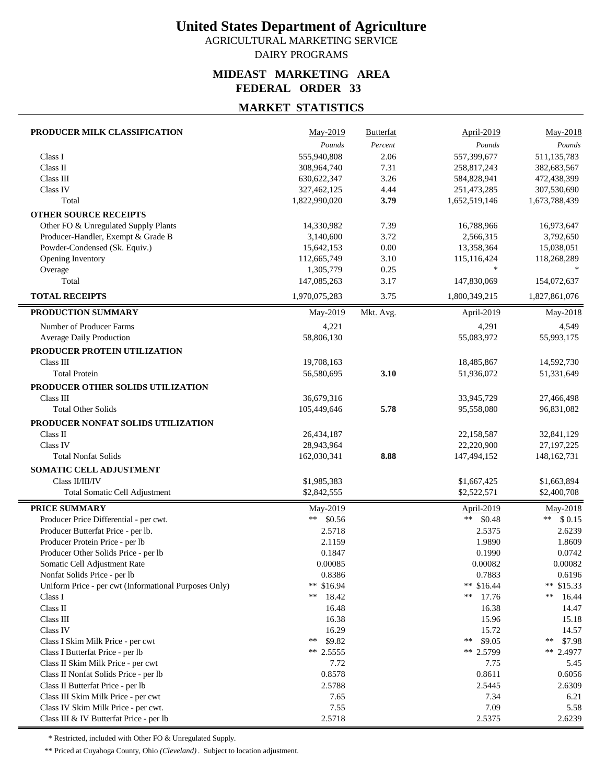AGRICULTURAL MARKETING SERVICE DAIRY PROGRAMS

#### **MIDEAST MARKETING AREA FEDERAL ORDER 33**

## **MARKET STATISTICS**

| PRODUCER MILK CLASSIFICATION                          | May-2019                   | <b>Butterfat</b> | April-2019                 | May-2018                   |
|-------------------------------------------------------|----------------------------|------------------|----------------------------|----------------------------|
|                                                       | Pounds                     | Percent          | Pounds                     | Pounds                     |
| Class I                                               | 555,940,808                | 2.06             | 557,399,677                | 511,135,783                |
| Class II                                              | 308,964,740                | 7.31             | 258,817,243                | 382,683,567                |
| Class III                                             | 630, 622, 347              | 3.26             | 584,828,941                | 472,438,399                |
| Class IV                                              | 327,462,125                | 4.44             | 251,473,285                | 307,530,690                |
| Total                                                 | 1,822,990,020              | 3.79             | 1,652,519,146              | 1,673,788,439              |
| <b>OTHER SOURCE RECEIPTS</b>                          |                            |                  |                            |                            |
| Other FO & Unregulated Supply Plants                  | 14,330,982                 | 7.39             | 16,788,966                 | 16,973,647                 |
| Producer-Handler, Exempt & Grade B                    | 3,140,600                  | 3.72             | 2,566,315                  | 3,792,650                  |
| Powder-Condensed (Sk. Equiv.)                         | 15,642,153                 | 0.00             | 13,358,364                 | 15,038,051                 |
| Opening Inventory                                     | 112,665,749                | 3.10             | 115,116,424                | 118,268,289                |
| Overage                                               | 1,305,779                  | 0.25             | $\ast$                     |                            |
| Total                                                 | 147,085,263                | 3.17             | 147,830,069                | 154,072,637                |
| <b>TOTAL RECEIPTS</b>                                 | 1,970,075,283              | 3.75             | 1,800,349,215              | 1,827,861,076              |
| PRODUCTION SUMMARY                                    | May-2019                   | Mkt. Avg.        | <b>April-2019</b>          | May-2018                   |
| Number of Producer Farms                              | 4,221                      |                  | 4,291                      | 4,549                      |
| Average Daily Production                              | 58,806,130                 |                  | 55,083,972                 | 55,993,175                 |
| PRODUCER PROTEIN UTILIZATION                          |                            |                  |                            |                            |
| Class III                                             | 19,708,163                 |                  | 18,485,867                 | 14,592,730                 |
| <b>Total Protein</b>                                  | 56,580,695                 | 3.10             | 51,936,072                 | 51,331,649                 |
| PRODUCER OTHER SOLIDS UTILIZATION                     |                            |                  |                            |                            |
| Class III                                             | 36,679,316                 |                  | 33,945,729                 | 27,466,498                 |
| <b>Total Other Solids</b>                             | 105,449,646                | 5.78             | 95,558,080                 | 96,831,082                 |
| PRODUCER NONFAT SOLIDS UTILIZATION                    |                            |                  |                            |                            |
| Class II                                              | 26,434,187                 |                  | 22,158,587                 | 32,841,129                 |
| Class IV                                              | 28,943,964                 |                  | 22,220,900                 | 27, 197, 225               |
| <b>Total Nonfat Solids</b>                            | 162,030,341                | 8.88             | 147,494,152                | 148, 162, 731              |
|                                                       |                            |                  |                            |                            |
| SOMATIC CELL ADJUSTMENT<br>Class II/III/IV            |                            |                  |                            |                            |
|                                                       | \$1,985,383<br>\$2,842,555 |                  | \$1,667,425<br>\$2,522,571 | \$1,663,894<br>\$2,400,708 |
| Total Somatic Cell Adjustment                         |                            |                  |                            |                            |
| <b>PRICE SUMMARY</b>                                  | May-2019                   |                  | <b>April-2019</b>          | May-2018                   |
| Producer Price Differential - per cwt.                | $***$<br>\$0.56            |                  | ** $$0.48$                 | \$0.15<br>$***$            |
| Producer Butterfat Price - per lb.                    | 2.5718                     |                  | 2.5375                     | 2.6239                     |
| Producer Protein Price - per lb                       | 2.1159                     |                  | 1.9890                     | 1.8609                     |
| Producer Other Solids Price - per lb                  | 0.1847                     |                  | 0.1990                     | 0.0742                     |
| Somatic Cell Adjustment Rate                          | 0.00085                    |                  | 0.00082                    | 0.00082                    |
| Nonfat Solids Price - per lb                          | 0.8386                     |                  | 0.7883                     | 0.6196                     |
| Uniform Price - per cwt (Informational Purposes Only) | ** $$16.94$                |                  | ** $$16.44$                | ** $$15.33$                |
| Class I                                               | **<br>18.42                |                  | **<br>17.76                | **<br>16.44                |
| Class II                                              | 16.48                      |                  | 16.38                      | 14.47                      |
| Class III                                             | 16.38                      |                  | 15.96                      | 15.18                      |
| Class IV                                              | 16.29<br>**                |                  | 15.72                      | 14.57                      |
| Class I Skim Milk Price - per cwt                     | \$9.82                     |                  | \$9.05<br>**               | **<br>\$7.98               |
| Class I Butterfat Price - per lb                      | $**$ 2.5555                |                  | ** 2.5799                  | ** 2.4977                  |
| Class II Skim Milk Price - per cwt                    | 7.72                       |                  | 7.75                       | 5.45                       |
| Class II Nonfat Solids Price - per lb                 | 0.8578                     |                  | 0.8611                     | 0.6056                     |
| Class II Butterfat Price - per lb                     | 2.5788                     |                  | 2.5445                     | 2.6309                     |
| Class III Skim Milk Price - per cwt                   | 7.65                       |                  | 7.34                       | 6.21                       |
| Class IV Skim Milk Price - per cwt.                   | 7.55                       |                  | 7.09                       | 5.58                       |
| Class III & IV Butterfat Price - per lb               | 2.5718                     |                  | 2.5375                     | 2.6239                     |

\* Restricted, included with Other FO & Unregulated Supply.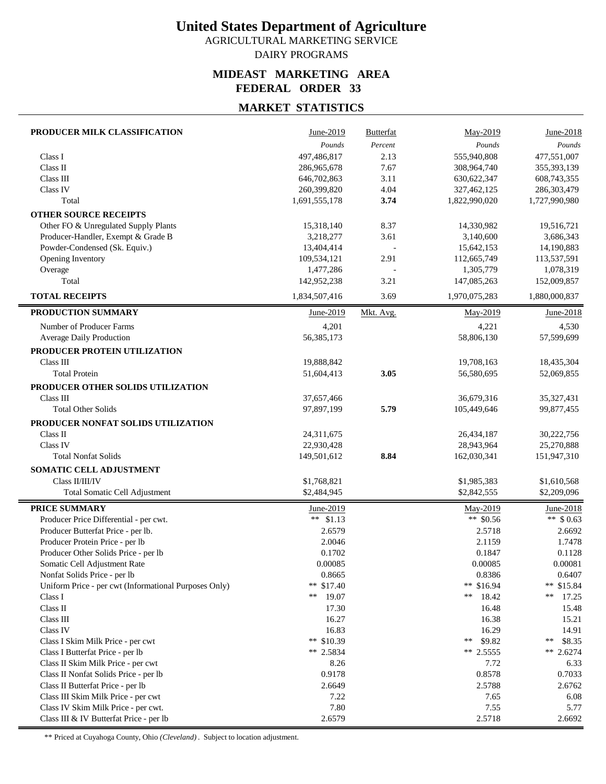AGRICULTURAL MARKETING SERVICE DAIRY PROGRAMS

#### **MIDEAST MARKETING AREA FEDERAL ORDER 33**

## **MARKET STATISTICS**

| PRODUCER MILK CLASSIFICATION                          | June-2019     | <b>Butterfat</b> | May-2019      | June-2018     |
|-------------------------------------------------------|---------------|------------------|---------------|---------------|
|                                                       | Pounds        | Percent          | Pounds        | Pounds        |
| Class I                                               | 497,486,817   | 2.13             | 555,940,808   | 477,551,007   |
| Class II                                              | 286,965,678   | 7.67             | 308,964,740   | 355,393,139   |
| Class III                                             | 646,702,863   | 3.11             | 630, 622, 347 | 608,743,355   |
| Class IV                                              | 260,399,820   | 4.04             | 327,462,125   | 286,303,479   |
| Total                                                 | 1,691,555,178 | 3.74             | 1,822,990,020 | 1,727,990,980 |
| <b>OTHER SOURCE RECEIPTS</b>                          |               |                  |               |               |
| Other FO & Unregulated Supply Plants                  | 15,318,140    | 8.37             | 14,330,982    | 19,516,721    |
| Producer-Handler, Exempt & Grade B                    | 3,218,277     | 3.61             | 3,140,600     | 3,686,343     |
| Powder-Condensed (Sk. Equiv.)                         | 13,404,414    |                  | 15,642,153    | 14,190,883    |
| Opening Inventory                                     | 109,534,121   | 2.91             | 112,665,749   | 113,537,591   |
| Overage                                               | 1,477,286     |                  | 1,305,779     | 1,078,319     |
| Total                                                 | 142,952,238   | 3.21             | 147,085,263   | 152,009,857   |
| <b>TOTAL RECEIPTS</b>                                 | 1,834,507,416 | 3.69             | 1,970,075,283 | 1,880,000,837 |
| PRODUCTION SUMMARY                                    | June-2019     | Mkt. Avg.        | May-2019      | June-2018     |
| Number of Producer Farms                              | 4,201         |                  | 4,221         | 4,530         |
| Average Daily Production                              | 56,385,173    |                  | 58,806,130    | 57,599,699    |
| PRODUCER PROTEIN UTILIZATION                          |               |                  |               |               |
| Class III                                             | 19,888,842    |                  | 19,708,163    | 18,435,304    |
| <b>Total Protein</b>                                  | 51,604,413    | 3.05             | 56,580,695    | 52,069,855    |
|                                                       |               |                  |               |               |
| PRODUCER OTHER SOLIDS UTILIZATION                     |               |                  |               |               |
| Class III                                             | 37,657,466    |                  | 36,679,316    | 35,327,431    |
| <b>Total Other Solids</b>                             | 97,897,199    | 5.79             | 105,449,646   | 99,877,455    |
| PRODUCER NONFAT SOLIDS UTILIZATION                    |               |                  |               |               |
| Class II                                              | 24,311,675    |                  | 26,434,187    | 30,222,756    |
| Class IV                                              | 22,930,428    |                  | 28,943,964    | 25,270,888    |
| <b>Total Nonfat Solids</b>                            | 149,501,612   | 8.84             | 162,030,341   | 151,947,310   |
| SOMATIC CELL ADJUSTMENT                               |               |                  |               |               |
| Class II/III/IV                                       | \$1,768,821   |                  | \$1,985,383   | \$1,610,568   |
| Total Somatic Cell Adjustment                         | \$2,484,945   |                  | \$2,842,555   | \$2,209,096   |
| <b>PRICE SUMMARY</b>                                  | June-2019     |                  | May-2019      | June-2018     |
| Producer Price Differential - per cwt.                | ** $$1.13$    |                  | ** $$0.56$    | ** $$0.63$    |
| Producer Butterfat Price - per lb.                    | 2.6579        |                  | 2.5718        | 2.6692        |
| Producer Protein Price - per lb                       | 2.0046        |                  | 2.1159        | 1.7478        |
| Producer Other Solids Price - per lb                  | 0.1702        |                  | 0.1847        | 0.1128        |
| Somatic Cell Adjustment Rate                          | 0.00085       |                  | 0.00085       | 0.00081       |
| Nonfat Solids Price - per lb                          | 0.8665        |                  | 0.8386        | 0.6407        |
| Uniform Price - per cwt (Informational Purposes Only) | ** $$17.40$   |                  | ** \$16.94    | ** \$15.84    |
| Class I                                               | **<br>19.07   |                  | **<br>18.42   | **<br>17.25   |
| Class II                                              | 17.30         |                  | 16.48         | 15.48         |
| Class III                                             | 16.27         |                  | 16.38         | 15.21         |
| Class IV                                              | 16.83         |                  | 16.29         | 14.91         |
| Class I Skim Milk Price - per cwt                     | ** $$10.39$   |                  | \$9.82<br>**  | \$8.35<br>**  |
| Class I Butterfat Price - per lb                      | $** 2.5834$   |                  | ** $2.5555$   | ** 2.6274     |
| Class II Skim Milk Price - per cwt                    | 8.26          |                  | 7.72          | 6.33          |
| Class II Nonfat Solids Price - per lb                 | 0.9178        |                  | 0.8578        | 0.7033        |
| Class II Butterfat Price - per lb                     | 2.6649        |                  | 2.5788        | 2.6762        |
| Class III Skim Milk Price - per cwt                   | 7.22          |                  | 7.65          | 6.08          |
| Class IV Skim Milk Price - per cwt.                   | 7.80          |                  | 7.55          | 5.77          |
| Class III & IV Butterfat Price - per lb               | 2.6579        |                  | 2.5718        | 2.6692        |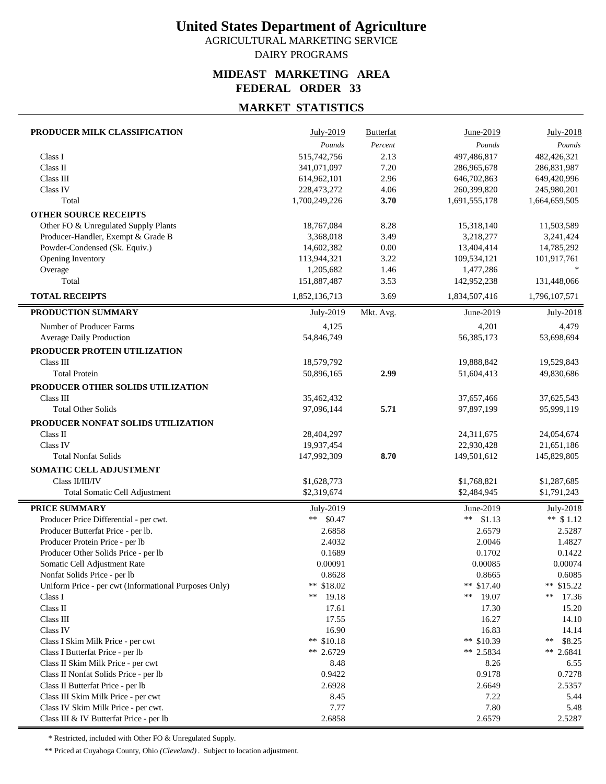AGRICULTURAL MARKETING SERVICE DAIRY PROGRAMS

#### **MIDEAST MARKETING AREA FEDERAL ORDER 33**

## **MARKET STATISTICS**

| PRODUCER MILK CLASSIFICATION                                     | July-2019        | <b>Butterfat</b> | June-2019        | July-2018         |
|------------------------------------------------------------------|------------------|------------------|------------------|-------------------|
|                                                                  | Pounds           | Percent          | Pounds           | Pounds            |
| Class I                                                          | 515,742,756      | 2.13             | 497,486,817      | 482,426,321       |
| Class II                                                         | 341,071,097      | 7.20             | 286,965,678      | 286,831,987       |
| Class III                                                        | 614,962,101      | 2.96             | 646,702,863      | 649,420,996       |
| Class IV                                                         | 228,473,272      | 4.06             | 260,399,820      | 245,980,201       |
| Total                                                            | 1,700,249,226    | 3.70             | 1,691,555,178    | 1,664,659,505     |
| <b>OTHER SOURCE RECEIPTS</b>                                     |                  |                  |                  |                   |
| Other FO & Unregulated Supply Plants                             | 18,767,084       | 8.28             | 15,318,140       | 11,503,589        |
| Producer-Handler, Exempt & Grade B                               | 3,368,018        | 3.49             | 3,218,277        | 3,241,424         |
| Powder-Condensed (Sk. Equiv.)                                    | 14,602,382       | 0.00             | 13,404,414       | 14,785,292        |
| Opening Inventory                                                | 113,944,321      | 3.22             | 109,534,121      | 101,917,761       |
| Overage                                                          | 1,205,682        | 1.46             | 1,477,286        |                   |
| Total                                                            | 151,887,487      | 3.53             | 142,952,238      | 131,448,066       |
| <b>TOTAL RECEIPTS</b>                                            | 1,852,136,713    | 3.69             | 1,834,507,416    | 1,796,107,571     |
| PRODUCTION SUMMARY                                               | July-2019        | Mkt. Avg.        | June-2019        | July-2018         |
| Number of Producer Farms                                         | 4,125            |                  | 4,201            | 4,479             |
| Average Daily Production                                         | 54,846,749       |                  | 56,385,173       | 53,698,694        |
| PRODUCER PROTEIN UTILIZATION                                     |                  |                  |                  |                   |
| Class III                                                        | 18,579,792       |                  | 19,888,842       | 19,529,843        |
| <b>Total Protein</b>                                             | 50,896,165       | 2.99             | 51,604,413       | 49,830,686        |
| PRODUCER OTHER SOLIDS UTILIZATION                                |                  |                  |                  |                   |
| Class III                                                        | 35,462,432       |                  | 37,657,466       | 37,625,543        |
| <b>Total Other Solids</b>                                        | 97,096,144       | 5.71             | 97,897,199       | 95,999,119        |
| PRODUCER NONFAT SOLIDS UTILIZATION                               |                  |                  |                  |                   |
| Class II                                                         | 28,404,297       |                  | 24,311,675       | 24,054,674        |
| Class IV                                                         | 19,937,454       |                  | 22,930,428       | 21,651,186        |
| <b>Total Nonfat Solids</b>                                       | 147,992,309      | 8.70             | 149,501,612      | 145,829,805       |
| SOMATIC CELL ADJUSTMENT                                          |                  |                  |                  |                   |
| Class II/III/IV                                                  | \$1,628,773      |                  | \$1,768,821      | \$1,287,685       |
| Total Somatic Cell Adjustment                                    | \$2,319,674      |                  | \$2,484,945      | \$1,791,243       |
|                                                                  |                  |                  |                  |                   |
| <b>PRICE SUMMARY</b>                                             | July-2019        |                  | June-2019        | July-2018         |
| Producer Price Differential - per cwt.                           | $**$<br>\$0.47   |                  | \$1.13<br>**     | ** $$1.12$        |
| Producer Butterfat Price - per lb.                               | 2.6858           |                  | 2.6579           | 2.5287            |
| Producer Protein Price - per lb                                  | 2.4032           |                  | 2.0046           | 1.4827            |
| Producer Other Solids Price - per lb                             | 0.1689           |                  | 0.1702           | 0.1422            |
| Somatic Cell Adjustment Rate                                     | 0.00091          |                  | 0.00085          | 0.00074           |
| Nonfat Solids Price - per lb                                     | 0.8628           |                  | 0.8665           | 0.6085            |
| Uniform Price - per cwt (Informational Purposes Only)<br>Class I | ** \$18.02<br>** |                  | ** \$17.40<br>** | ** $$15.22$<br>** |
| Class II                                                         | 19.18            |                  | 19.07            | 17.36             |
| Class III                                                        | 17.61<br>17.55   |                  | 17.30<br>16.27   | 15.20<br>14.10    |
| Class IV                                                         | 16.90            |                  | 16.83            | 14.14             |
| Class I Skim Milk Price - per cwt                                | ** $$10.18$      |                  | ** \$10.39       | \$8.25<br>**      |
| Class I Butterfat Price - per lb                                 | ** 2.6729        |                  | ** 2.5834        | ** 2.6841         |
| Class II Skim Milk Price - per cwt                               | 8.48             |                  | 8.26             | 6.55              |
| Class II Nonfat Solids Price - per lb                            | 0.9422           |                  | 0.9178           | 0.7278            |
| Class II Butterfat Price - per lb                                | 2.6928           |                  | 2.6649           | 2.5357            |
| Class III Skim Milk Price - per cwt                              | 8.45             |                  | 7.22             | 5.44              |
| Class IV Skim Milk Price - per cwt.                              | 7.77             |                  | 7.80             | 5.48              |
| Class III & IV Butterfat Price - per lb                          | 2.6858           |                  | 2.6579           | 2.5287            |

\* Restricted, included with Other FO & Unregulated Supply.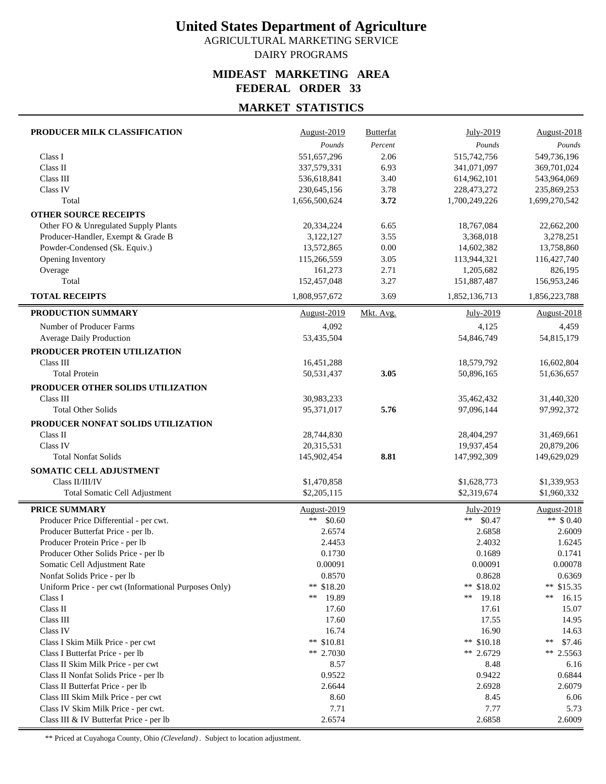AGRICULTURAL MARKETING SERVICE DAIRY PROGRAMS

#### **MIDEAST MARKETING AREA FEDERAL ORDER 33**

### **MARKET STATISTICS**

| PRODUCER MILK CLASSIFICATION                                                          | August-2019          | <b>Butterfat</b> | July-2019            | August-2018           |
|---------------------------------------------------------------------------------------|----------------------|------------------|----------------------|-----------------------|
|                                                                                       | Pounds               | Percent          | Pounds               | Pounds                |
| Class I                                                                               | 551,657,296          | 2.06             | 515,742,756          | 549,736,196           |
| Class II                                                                              | 337,579,331          | 6.93             | 341,071,097          | 369,701,024           |
| Class III                                                                             | 536,618,841          | 3.40             | 614,962,101          | 543,964,069           |
| Class IV                                                                              | 230,645,156          | 3.78             | 228,473,272          | 235,869,253           |
| Total                                                                                 | 1,656,500,624        | 3.72             | 1,700,249,226        | 1,699,270,542         |
| <b>OTHER SOURCE RECEIPTS</b>                                                          |                      |                  |                      |                       |
| Other FO & Unregulated Supply Plants                                                  | 20,334,224           | 6.65             | 18,767,084           | 22,662,200            |
| Producer-Handler, Exempt & Grade B                                                    | 3,122,127            | 3.55             | 3,368,018            | 3,278,251             |
| Powder-Condensed (Sk. Equiv.)                                                         | 13,572,865           | 0.00             | 14,602,382           | 13,758,860            |
| Opening Inventory                                                                     | 115,266,559          | 3.05             | 113,944,321          | 116,427,740           |
| Overage                                                                               | 161,273              | 2.71             | 1,205,682            | 826,195               |
| Total                                                                                 | 152,457,048          | 3.27             | 151,887,487          | 156,953,246           |
| <b>TOTAL RECEIPTS</b>                                                                 | 1,808,957,672        | 3.69             | 1,852,136,713        | 1,856,223,788         |
| PRODUCTION SUMMARY                                                                    | August-2019          | Mkt. Avg.        | July-2019            | August-2018           |
| Number of Producer Farms                                                              | 4,092                |                  | 4,125                | 4,459                 |
| Average Daily Production                                                              | 53,435,504           |                  | 54,846,749           | 54,815,179            |
| PRODUCER PROTEIN UTILIZATION                                                          |                      |                  |                      |                       |
| Class III                                                                             | 16,451,288           |                  | 18,579,792           | 16,602,804            |
| <b>Total Protein</b>                                                                  | 50,531,437           | 3.05             | 50,896,165           | 51,636,657            |
| PRODUCER OTHER SOLIDS UTILIZATION                                                     |                      |                  |                      |                       |
| Class III                                                                             | 30,983,233           |                  | 35,462,432           | 31,440,320            |
| <b>Total Other Solids</b>                                                             | 95,371,017           | 5.76             | 97,096,144           | 97,992,372            |
| PRODUCER NONFAT SOLIDS UTILIZATION                                                    |                      |                  |                      |                       |
| Class II                                                                              | 28,744,830           |                  | 28,404,297           | 31,469,661            |
| Class IV                                                                              | 20,315,531           |                  | 19,937,454           | 20,879,206            |
| <b>Total Nonfat Solids</b>                                                            | 145,902,454          | 8.81             | 147,992,309          | 149,629,029           |
| SOMATIC CELL ADJUSTMENT                                                               |                      |                  |                      |                       |
| Class II/III/IV                                                                       | \$1,470,858          |                  | \$1,628,773          | \$1,339,953           |
| <b>Total Somatic Cell Adjustment</b>                                                  | \$2,205,115          |                  | \$2,319,674          | \$1,960,332           |
|                                                                                       |                      |                  |                      |                       |
| <b>PRICE SUMMARY</b>                                                                  | August-2019          |                  | July-2019            | August-2018           |
| Producer Price Differential - per cwt.                                                | **<br>\$0.60         |                  | \$0.47<br>**         | ** $$0.40$            |
| Producer Butterfat Price - per lb.                                                    | 2.6574               |                  | 2.6858               | 2.6009                |
| Producer Protein Price - per lb                                                       | 2.4453               |                  | 2.4032               | 1.6245                |
| Producer Other Solids Price - per lb                                                  | 0.1730               |                  | 0.1689               | 0.1741                |
| Somatic Cell Adjustment Rate                                                          | 0.00091              |                  | 0.00091              | 0.00078               |
| Nonfat Solids Price - per lb<br>Uniform Price - per cwt (Informational Purposes Only) | 0.8570<br>** \$18.20 |                  | 0.8628<br>** \$18.02 | 0.6369<br>** $$15.35$ |
| Class I                                                                               | **<br>19.89          |                  | 19.18<br>**          | **<br>16.15           |
| Class II                                                                              | 17.60                |                  | 17.61                | 15.07                 |
| Class III                                                                             | 17.60                |                  | 17.55                | 14.95                 |
| Class IV                                                                              | 16.74                |                  | 16.90                | 14.63                 |
| Class I Skim Milk Price - per cwt                                                     | ** $$10.81$          |                  | ** $$10.18$          | \$7.46<br>**          |
| Class I Butterfat Price - per lb                                                      | ** $2.7030$          |                  | ** 2.6729            | ** 2.5563             |
| Class II Skim Milk Price - per cwt                                                    | 8.57                 |                  | 8.48                 | 6.16                  |
| Class II Nonfat Solids Price - per lb                                                 | 0.9522               |                  | 0.9422               | 0.6844                |
| Class II Butterfat Price - per lb                                                     | 2.6644               |                  | 2.6928               | 2.6079                |
| Class III Skim Milk Price - per cwt                                                   | 8.60                 |                  | 8.45                 | 6.06                  |
| Class IV Skim Milk Price - per cwt.                                                   | 7.71                 |                  | 7.77                 | 5.73                  |
| Class III & IV Butterfat Price - per lb                                               | 2.6574               |                  | 2.6858               | 2.6009                |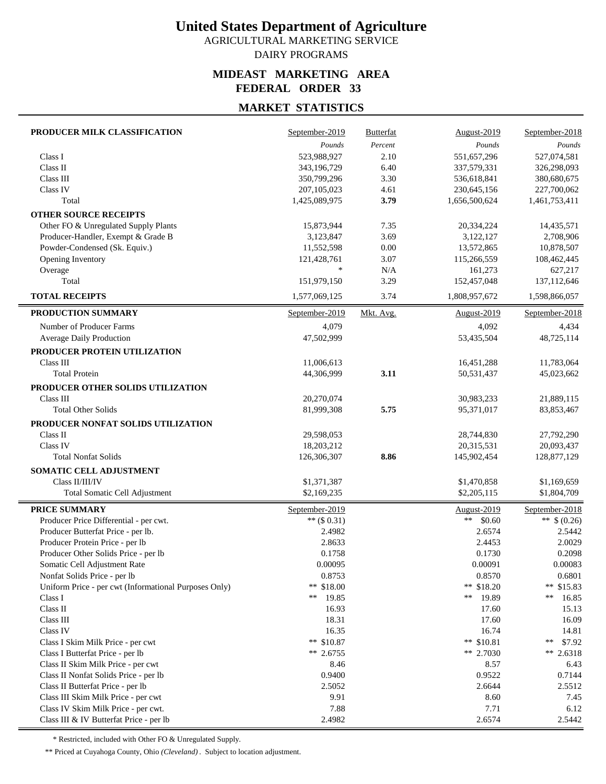AGRICULTURAL MARKETING SERVICE DAIRY PROGRAMS

#### **MIDEAST MARKETING AREA FEDERAL ORDER 33**

## **MARKET STATISTICS**

| PRODUCER MILK CLASSIFICATION                          | September-2019             | <b>Butterfat</b> | August-2019   | September-2018             |
|-------------------------------------------------------|----------------------------|------------------|---------------|----------------------------|
|                                                       | Pounds                     | Percent          | Pounds        | Pounds                     |
| Class I                                               | 523,988,927                | 2.10             | 551,657,296   | 527,074,581                |
| Class II                                              | 343,196,729                | 6.40             | 337,579,331   | 326,298,093                |
| Class III                                             | 350,799,296                | 3.30             | 536,618,841   | 380,680,675                |
| Class IV                                              | 207,105,023                | 4.61             | 230,645,156   | 227,700,062                |
| Total                                                 | 1,425,089,975              | 3.79             | 1,656,500,624 | 1,461,753,411              |
| <b>OTHER SOURCE RECEIPTS</b>                          |                            |                  |               |                            |
| Other FO & Unregulated Supply Plants                  | 15,873,944                 | 7.35             | 20,334,224    | 14,435,571                 |
| Producer-Handler, Exempt & Grade B                    | 3,123,847                  | 3.69             | 3,122,127     | 2,708,906                  |
| Powder-Condensed (Sk. Equiv.)                         | 11,552,598                 | 0.00             | 13,572,865    | 10,878,507                 |
| Opening Inventory                                     | 121,428,761                | 3.07             | 115,266,559   | 108,462,445                |
| Overage                                               | $\ast$                     | N/A              | 161,273       | 627,217                    |
| Total                                                 | 151,979,150                | 3.29             | 152,457,048   | 137,112,646                |
| <b>TOTAL RECEIPTS</b>                                 | 1,577,069,125              | 3.74             | 1,808,957,672 | 1,598,866,057              |
| PRODUCTION SUMMARY                                    | September-2019             | Mkt. Avg.        | August-2019   | September-2018             |
| Number of Producer Farms                              | 4,079                      |                  | 4,092         | 4,434                      |
| Average Daily Production                              | 47,502,999                 |                  | 53,435,504    | 48,725,114                 |
| PRODUCER PROTEIN UTILIZATION                          |                            |                  |               |                            |
| Class III                                             | 11,006,613                 |                  | 16,451,288    | 11,783,064                 |
| <b>Total Protein</b>                                  | 44,306,999                 | 3.11             | 50,531,437    | 45,023,662                 |
| PRODUCER OTHER SOLIDS UTILIZATION                     |                            |                  |               |                            |
| Class III                                             | 20,270,074                 |                  | 30,983,233    | 21,889,115                 |
| <b>Total Other Solids</b>                             | 81,999,308                 | 5.75             | 95,371,017    | 83, 853, 467               |
| PRODUCER NONFAT SOLIDS UTILIZATION                    |                            |                  |               |                            |
| Class II                                              | 29,598,053                 |                  | 28,744,830    | 27,792,290                 |
| Class IV                                              | 18,203,212                 |                  | 20,315,531    | 20,093,437                 |
| <b>Total Nonfat Solids</b>                            | 126,306,307                | 8.86             | 145,902,454   | 128,877,129                |
| <b>SOMATIC CELL ADJUSTMENT</b>                        |                            |                  |               |                            |
| Class II/III/IV                                       |                            |                  | \$1,470,858   |                            |
| <b>Total Somatic Cell Adjustment</b>                  | \$1,371,387<br>\$2,169,235 |                  | \$2,205,115   | \$1,169,659<br>\$1,804,709 |
|                                                       |                            |                  |               |                            |
| <b>PRICE SUMMARY</b>                                  | September-2019             |                  | August-2019   | September-2018             |
| Producer Price Differential - per cwt.                | ** $($ \$ 0.31)            |                  | **<br>\$0.60  | ** $$ (0.26)$              |
| Producer Butterfat Price - per lb.                    | 2.4982                     |                  | 2.6574        | 2.5442                     |
| Producer Protein Price - per lb                       | 2.8633                     |                  | 2.4453        | 2.0029                     |
| Producer Other Solids Price - per lb                  | 0.1758                     |                  | 0.1730        | 0.2098                     |
| Somatic Cell Adjustment Rate                          | 0.00095                    |                  | 0.00091       | 0.00083                    |
| Nonfat Solids Price - per lb                          | 0.8753                     |                  | 0.8570        | 0.6801                     |
| Uniform Price - per cwt (Informational Purposes Only) | ** \$18.00                 |                  | ** \$18.20    | ** $$15.83$                |
| Class I                                               | **<br>19.85                |                  | 19.89<br>**   | **<br>16.85                |
| Class II                                              | 16.93                      |                  | 17.60         | 15.13                      |
| Class III                                             | 18.31                      |                  | 17.60         | 16.09                      |
| Class IV                                              | 16.35                      |                  | 16.74         | 14.81                      |
| Class I Skim Milk Price - per cwt                     | ** $$10.87$                |                  | ** $$10.81$   | \$7.92<br>**               |
| Class I Butterfat Price - per lb                      | ** 2.6755                  |                  | ** 2.7030     | ** 2.6318                  |
| Class II Skim Milk Price - per cwt                    | 8.46                       |                  | 8.57          | 6.43                       |
| Class II Nonfat Solids Price - per lb                 | 0.9400                     |                  | 0.9522        | 0.7144                     |
| Class II Butterfat Price - per lb                     | 2.5052                     |                  | 2.6644        | 2.5512                     |
| Class III Skim Milk Price - per cwt                   | 9.91                       |                  | 8.60          | 7.45                       |
| Class IV Skim Milk Price - per cwt.                   | 7.88                       |                  | 7.71          | 6.12                       |
| Class III & IV Butterfat Price - per lb               | 2.4982                     |                  | 2.6574        | 2.5442                     |

\* Restricted, included with Other FO & Unregulated Supply.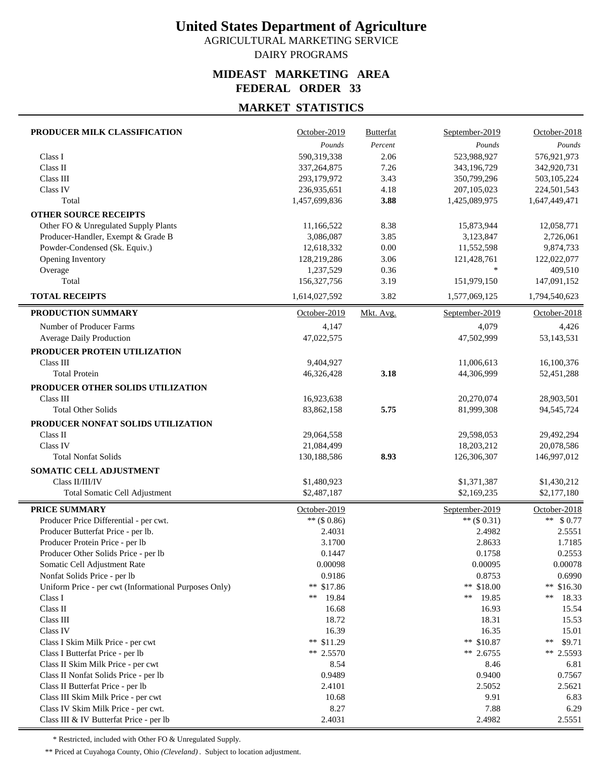AGRICULTURAL MARKETING SERVICE DAIRY PROGRAMS

#### **MIDEAST MARKETING AREA FEDERAL ORDER 33**

## **MARKET STATISTICS**

| PRODUCER MILK CLASSIFICATION                          | October-2019              | <b>Butterfat</b> | September-2019            | October-2018              |
|-------------------------------------------------------|---------------------------|------------------|---------------------------|---------------------------|
|                                                       | Pounds                    | Percent          | Pounds                    | Pounds                    |
| Class I                                               | 590,319,338               | 2.06             | 523,988,927               | 576,921,973               |
| Class II                                              | 337, 264, 875             | 7.26             | 343,196,729               | 342,920,731               |
| Class III                                             | 293,179,972               | 3.43             | 350,799,296               | 503,105,224               |
| Class IV                                              | 236,935,651               | 4.18             | 207, 105, 023             | 224,501,543               |
| Total                                                 | 1,457,699,836             | 3.88             | 1,425,089,975             | 1,647,449,471             |
| <b>OTHER SOURCE RECEIPTS</b>                          |                           |                  |                           |                           |
| Other FO & Unregulated Supply Plants                  | 11,166,522                | 8.38             | 15,873,944                | 12,058,771                |
| Producer-Handler, Exempt & Grade B                    | 3,086,087                 | 3.85             | 3,123,847                 | 2,726,061                 |
| Powder-Condensed (Sk. Equiv.)                         | 12,618,332                | 0.00             | 11,552,598                | 9,874,733                 |
| Opening Inventory                                     | 128,219,286               | 3.06             | 121,428,761               | 122,022,077               |
| Overage                                               | 1,237,529                 | 0.36             | $\ast$                    | 409,510                   |
| Total                                                 | 156, 327, 756             | 3.19             | 151,979,150               | 147,091,152               |
| <b>TOTAL RECEIPTS</b>                                 | 1,614,027,592             | 3.82             | 1,577,069,125             | 1,794,540,623             |
| PRODUCTION SUMMARY                                    | October-2019              | Mkt. Avg.        | September-2019            | October-2018              |
| Number of Producer Farms                              | 4,147                     |                  | 4,079                     | 4,426                     |
| <b>Average Daily Production</b>                       | 47,022,575                |                  | 47,502,999                | 53,143,531                |
| PRODUCER PROTEIN UTILIZATION                          |                           |                  |                           |                           |
| Class III                                             | 9,404,927                 |                  | 11,006,613                | 16,100,376                |
| <b>Total Protein</b>                                  | 46,326,428                | 3.18             | 44,306,999                | 52,451,288                |
| PRODUCER OTHER SOLIDS UTILIZATION                     |                           |                  |                           |                           |
| Class III                                             | 16,923,638                |                  | 20,270,074                | 28,903,501                |
| <b>Total Other Solids</b>                             | 83,862,158                | 5.75             | 81,999,308                | 94,545,724                |
|                                                       |                           |                  |                           |                           |
| PRODUCER NONFAT SOLIDS UTILIZATION                    |                           |                  |                           |                           |
| Class II                                              | 29,064,558                |                  | 29,598,053                | 29,492,294                |
| Class IV<br><b>Total Nonfat Solids</b>                | 21,084,499<br>130,188,586 | 8.93             | 18,203,212<br>126,306,307 | 20,078,586<br>146,997,012 |
|                                                       |                           |                  |                           |                           |
| SOMATIC CELL ADJUSTMENT                               |                           |                  |                           |                           |
| Class II/III/IV                                       | \$1,480,923               |                  | \$1,371,387               | \$1,430,212               |
| Total Somatic Cell Adjustment                         | \$2,487,187               |                  | \$2,169,235               | \$2,177,180               |
| <b>PRICE SUMMARY</b>                                  | October-2019              |                  | September-2019            | October-2018              |
| Producer Price Differential - per cwt.                | $**$ (\$ 0.86)            |                  | ** $($0.31)$              | ** $$0.77$                |
| Producer Butterfat Price - per lb.                    | 2.4031                    |                  | 2.4982                    | 2.5551                    |
| Producer Protein Price - per lb                       | 3.1700                    |                  | 2.8633                    | 1.7185                    |
| Producer Other Solids Price - per lb                  | 0.1447                    |                  | 0.1758                    | 0.2553                    |
| Somatic Cell Adjustment Rate                          | 0.00098                   |                  | 0.00095                   | 0.00078                   |
| Nonfat Solids Price - per lb                          | 0.9186                    |                  | 0.8753                    | 0.6990                    |
| Uniform Price - per cwt (Informational Purposes Only) | ** \$17.86                |                  | ** \$18.00                | ** $$16.30$               |
| Class I                                               | **<br>19.84               |                  | **<br>19.85               | **<br>18.33               |
| Class II                                              | 16.68                     |                  | 16.93                     | 15.54                     |
| Class III                                             | 18.72                     |                  | 18.31                     | 15.53                     |
| Class IV                                              | 16.39                     |                  | 16.35                     | 15.01                     |
| Class I Skim Milk Price - per cwt                     | ** $$11.29$               |                  | ** $$10.87$               | **<br>\$9.71              |
| Class I Butterfat Price - per lb                      | $** 2.5570$               |                  | ** $2.6755$               | ** 2.5593                 |
| Class II Skim Milk Price - per cwt                    | 8.54                      |                  | 8.46                      | 6.81                      |
| Class II Nonfat Solids Price - per lb                 | 0.9489                    |                  | 0.9400                    | 0.7567                    |
| Class II Butterfat Price - per lb                     | 2.4101                    |                  | 2.5052                    | 2.5621                    |
| Class III Skim Milk Price - per cwt                   | 10.68                     |                  | 9.91                      | 6.83                      |
| Class IV Skim Milk Price - per cwt.                   | 8.27                      |                  | 7.88                      | 6.29                      |
| Class III & IV Butterfat Price - per lb               | 2.4031                    |                  | 2.4982                    | 2.5551                    |

\* Restricted, included with Other FO & Unregulated Supply.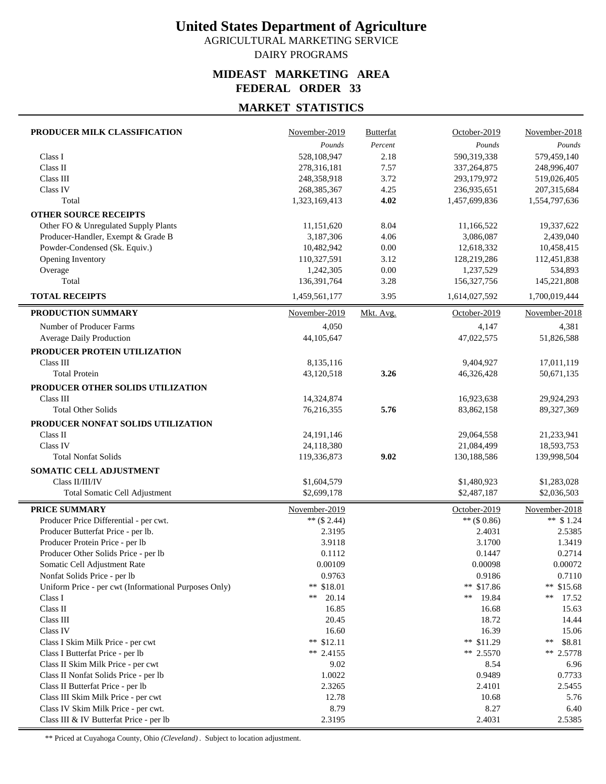AGRICULTURAL MARKETING SERVICE DAIRY PROGRAMS

#### **MIDEAST MARKETING AREA FEDERAL ORDER 33**

## **MARKET STATISTICS**

| PRODUCER MILK CLASSIFICATION                                 | November-2019    | <b>Butterfat</b> | October-2019     | November-2018     |
|--------------------------------------------------------------|------------------|------------------|------------------|-------------------|
|                                                              | Pounds           | Percent          | Pounds           | Pounds            |
| Class I                                                      | 528,108,947      | 2.18             | 590,319,338      | 579,459,140       |
| Class II                                                     | 278,316,181      | 7.57             | 337, 264, 875    | 248,996,407       |
| Class III                                                    | 248,358,918      | 3.72             | 293,179,972      | 519,026,405       |
| Class IV                                                     | 268, 385, 367    | 4.25             | 236,935,651      | 207,315,684       |
| Total                                                        | 1,323,169,413    | 4.02             | 1,457,699,836    | 1,554,797,636     |
| <b>OTHER SOURCE RECEIPTS</b>                                 |                  |                  |                  |                   |
| Other FO & Unregulated Supply Plants                         | 11,151,620       | 8.04             | 11,166,522       | 19,337,622        |
| Producer-Handler, Exempt & Grade B                           | 3,187,306        | 4.06             | 3,086,087        | 2,439,040         |
| Powder-Condensed (Sk. Equiv.)                                | 10,482,942       | 0.00             | 12,618,332       | 10,458,415        |
| Opening Inventory                                            | 110,327,591      | 3.12             | 128,219,286      | 112,451,838       |
| Overage                                                      | 1,242,305        | 0.00             | 1,237,529        | 534,893           |
| Total                                                        | 136,391,764      | 3.28             | 156, 327, 756    | 145,221,808       |
| <b>TOTAL RECEIPTS</b>                                        | 1,459,561,177    | 3.95             | 1,614,027,592    | 1,700,019,444     |
| PRODUCTION SUMMARY                                           | November-2019    | Mkt. Avg.        | October-2019     | November-2018     |
| Number of Producer Farms                                     | 4,050            |                  | 4,147            | 4,381             |
| Average Daily Production                                     | 44,105,647       |                  | 47,022,575       | 51,826,588        |
| PRODUCER PROTEIN UTILIZATION                                 |                  |                  |                  |                   |
| Class III                                                    | 8,135,116        |                  | 9,404,927        | 17,011,119        |
| <b>Total Protein</b>                                         | 43,120,518       | 3.26             | 46,326,428       | 50,671,135        |
| PRODUCER OTHER SOLIDS UTILIZATION                            |                  |                  |                  |                   |
| Class III                                                    | 14,324,874       |                  | 16,923,638       | 29,924,293        |
| <b>Total Other Solids</b>                                    | 76,216,355       | 5.76             | 83,862,158       | 89,327,369        |
| PRODUCER NONFAT SOLIDS UTILIZATION                           |                  |                  |                  |                   |
| Class II                                                     | 24, 191, 146     |                  | 29,064,558       | 21,233,941        |
| Class IV                                                     | 24,118,380       |                  | 21,084,499       | 18,593,753        |
| <b>Total Nonfat Solids</b>                                   | 119,336,873      | 9.02             | 130,188,586      | 139,998,504       |
| SOMATIC CELL ADJUSTMENT                                      |                  |                  |                  |                   |
| Class II/III/IV                                              | \$1,604,579      |                  | \$1,480,923      | \$1,283,028       |
| <b>Total Somatic Cell Adjustment</b>                         | \$2,699,178      |                  | \$2,487,187      | \$2,036,503       |
|                                                              |                  |                  |                  |                   |
| <b>PRICE SUMMARY</b>                                         | November-2019    |                  | October-2019     | November-2018     |
| Producer Price Differential - per cwt.                       | ** $(S 2.44)$    |                  | ** $($ \$ 0.86)  | ** $$1.24$        |
| Producer Butterfat Price - per lb.                           | 2.3195           |                  | 2.4031           | 2.5385            |
| Producer Protein Price - per lb                              | 3.9118<br>0.1112 |                  | 3.1700<br>0.1447 | 1.3419<br>0.2714  |
| Producer Other Solids Price - per lb                         | 0.00109          |                  | 0.00098          |                   |
| Somatic Cell Adjustment Rate<br>Nonfat Solids Price - per lb | 0.9763           |                  | 0.9186           | 0.00072<br>0.7110 |
| Uniform Price - per cwt (Informational Purposes Only)        | ** \$18.01       |                  | ** \$17.86       | ** $$15.68$       |
| Class I                                                      | 20.14<br>**      |                  | 19.84<br>**      | **<br>17.52       |
| Class II                                                     | 16.85            |                  | 16.68            | 15.63             |
| Class III                                                    | 20.45            |                  | 18.72            | 14.44             |
| Class IV                                                     | 16.60            |                  | 16.39            | 15.06             |
| Class I Skim Milk Price - per cwt                            | ** $$12.11$      |                  | ** $$11.29$      | \$8.81<br>**      |
| Class I Butterfat Price - per lb                             | ** $2.4155$      |                  | ** 2.5570        | ** 2.5778         |
| Class II Skim Milk Price - per cwt                           | 9.02             |                  | 8.54             | 6.96              |
| Class II Nonfat Solids Price - per lb                        | 1.0022           |                  | 0.9489           | 0.7733            |
| Class II Butterfat Price - per lb                            | 2.3265           |                  | 2.4101           | 2.5455            |
| Class III Skim Milk Price - per cwt                          | 12.78            |                  | 10.68            | 5.76              |
| Class IV Skim Milk Price - per cwt.                          | 8.79             |                  | 8.27             | 6.40              |
| Class III & IV Butterfat Price - per lb                      | 2.3195           |                  | 2.4031           | 2.5385            |